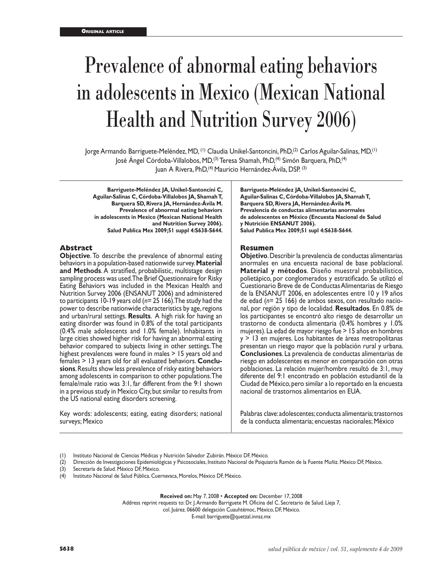# Prevalence of abnormal eating behaviors in adolescents in Mexico (Mexican National Health and Nutrition Survey 2006)

Jorge Armando Barriguete-Meléndez, MD, (1) Claudia Unikel-Santoncini, PhD,(2) Carlos Aguilar-Salinas, MD,(1) José Ángel Córdoba-Villalobos, MD,(3) Teresa Shamah, PhD,(4) Simón Barquera, PhD,(4) Juan A Rivera, PhD,(4) Mauricio Hernández-Ávila, DSP. (3)

**Barriguete-Meléndez JA, Unikel-Santoncini C, Aguilar-Salinas C, Córdoba-Villalobos JA, Shamah T, Barquera SD, Rivera JA, Hernández-Ávila M. Prevalence of abnormal eating behaviors in adolescents in Mexico (Mexican National Health and Nutrition Survey 2006). Salud Publica Mex 2009;51 suppl 4:S638-S644.**

## **Abstract**

**Objective**. To describe the prevalence of abnormal eating behaviors in a population-based nationwide survey. **Material and Methods**. A stratified, probabilistic, multistage design sampling process was used. The Brief Questionnaire for Risky Eating Behaviors was included in the Mexican Health and Nutrition Survey 2006 (ENSANUT 2006) and administered to participants 10-19 years old (*n=* 25 166). The study had the power to describe nationwide characteristics by age, regions and urban/rural settings. **Results**. A high risk for having an eating disorder was found in 0.8% of the total participants (0.4% male adolescents and 1.0% female). Inhabitants in large cities showed higher risk for having an abnormal eating behavior compared to subjects living in other settings. The highest prevalences were found in males > 15 years old and females > 13 years old for all evaluated behaviors. **Conclu sions**. Results show less prevalence of risky eating behaviors among adolescents in comparison to other populations. The female/male ratio was 3:1, far different from the 9:1 shown in a previous study in Mexico City, but similar to results from the US national eating disorders screening.

Key words: adolescents; eating, eating disorders; national surveys; Mexico

**Barriguete-Meléndez JA, Unikel-Santoncini C, Aguilar-Salinas C, Córdoba-Villalobos JA, Shamah T, Barquera SD, Rivera JA, Hernández-Ávila M. Prevalencia de conductas alimentarias anormales de adolescentes en México (Encuesta Nacional de Salud y Nutrición ENSANUT 2006). Salud Publica Mex 2009;51 supl 4:S638-S644.**

#### **Resumen**

**Objetivo**. Describir la prevalencia de conductas alimentarias anormales en una encuesta nacional de base poblacional. **Material y métodos**. Diseño muestral probabilístico, polietápico, por conglomerados y estratificado. Se utilizó el Cuestionario Breve de de Conductas Alimentarias de Riesgo de la ENSANUT 2006, en adolescentes entre 10 y 19 años de edad (*n=* 25 166) de ambos sexos, con resultado nacional, por región y tipo de localidad. **Resultados**. En 0.8% de los participantes se encontró alto riesgo de desarrollar un trastorno de conducta alimentaria (0.4% hombres y 1.0% mujeres). La edad de mayor riesgo fue > 15 años en hombres y > 13 en mujeres. Los habitantes de áreas metropolitanas presentan un riesgo mayor que la población rural y urbana. **Conclusiones**. La prevalencia de conductas alimentarias de riesgo en adolescentes es menor en comparación con otras poblaciones. La relación mujer/hombre resultó de 3:1, muy diferente del 9:1 encontrado en población estudiantil de la Ciudad de México, pero similar a lo reportado en la encuesta nacional de trastornos alimentarios en EUA.

Palabras clave: adolescentes; conducta alimentaria; trastornos de la conducta alimentaria; encuestas nacionales; México

- (1) Instituto Nacional de Ciencias Médicas y Nutrición Salvador Zubirán. México DF, México.
- (2) Dirección de Investigaciones Epidemiológicas y Psicosociales, Instituto Nacional de Psiquiatría Ramón de la Fuente Muñiz. México DF, México.
- (3) Secretaría de Salud. México DF, México.
- (4) Instituto Nacional de Salud Pública. Cuernavaca, Morelos, México DF, México.

**Received on:** May 7, 2008 • **Accepted on:** December 17, 2008

Address reprint requests to: Dr. J. Armando Barriguete M. Oficina del C. Secretario de Salud. Lieja 7,

col. Juárez. 06600 delegación Cuauhtémoc, México, DF, México.

E-mail: barriguete@quetzal.innsz.mx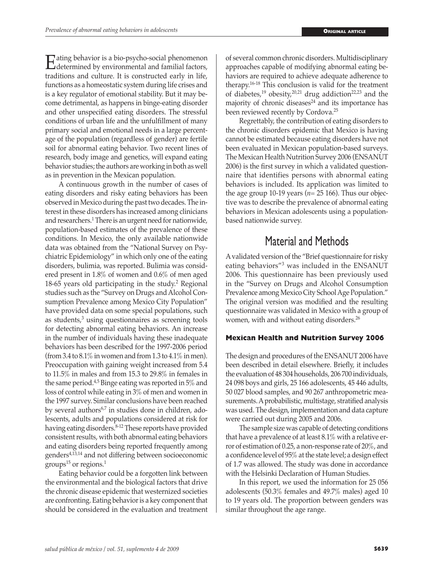Eating behavior is a bio-psycho-social phenomenon<br>determined by environmental and familial factors,<br>traditions and culture. It is constructed early in life. traditions and culture. It is constructed early in life, functions as a homeostatic system during life crises and is a key regulator of emotional stability. But it may become detrimental, as happens in binge-eating disorder and other unspecified eating disorders. The stressful conditions of urban life and the unfulfillment of many primary social and emotional needs in a large percentage of the population (regardless of gender) are fertile soil for abnormal eating behavior. Two recent lines of research, body image and genetics, will expand eating behavior studies; the authors are working in both as well as in prevention in the Mexican population.

A continuous growth in the number of cases of eating disorders and risky eating behaviors has been observed in Mexico during the past two decades. The interest in these disorders has increased among clinicians and researchers.<sup>1</sup> There is an urgent need for nationwide, population-based estimates of the prevalence of these conditions. In Mexico, the only available nationwide data was obtained from the "National Survey on Psychiatric Epidemiology" in which only one of the eating disorders, bulimia, was reported. Bulimia was considered present in 1.8% of women and 0.6% of men aged 18-65 years old participating in the study.<sup>2</sup> Regional studies such as the "Survey on Drugs and Alcohol Consumption Prevalence among Mexico City Population" have provided data on some special populations, such as students, $3$  using questionnaires as screening tools for detecting abnormal eating behaviors. An increase in the number of individuals having these inadequate behaviors has been described for the 1997-2006 period (from 3.4 to  $8.1\%$  in women and from 1.3 to  $4.1\%$  in men). Preoccupation with gaining weight increased from 5.4 to 11.5% in males and from 15.3 to 29.8% in females in the same period.4,5 Binge eating was reported in 5% and loss of control while eating in 3% of men and women in the 1997 survey. Similar conclusions have been reached by several authors<sup>6,7</sup> in studies done in children, adolescents, adults and populations considered at risk for having eating disorders.<sup>8-12</sup> These reports have provided consistent results, with both abnormal eating behaviors and eating disorders being reported frequently among genders4,13,14 and not differing between socioeconomic groups<sup>15</sup> or regions.<sup>1</sup>

Eating behavior could be a forgotten link between the environmental and the biological factors that drive the chronic disease epidemic that westernized societies are confronting. Eating behavior is a key component that should be considered in the evaluation and treatment of several common chronic disorders. Multidisciplinary approaches capable of modifying abnormal eating behaviors are required to achieve adequate adherence to therapy.16-18 This conclusion is valid for the treatment of diabetes,<sup>19</sup> obesity,<sup>20,21</sup> drug addiction<sup>22,23</sup> and the majority of chronic diseases $24$  and its importance has been reviewed recently by Cordova.25

Regrettably, the contribution of eating disorders to the chronic disorders epidemic that Mexico is having cannot be estimated because eating disorders have not been evaluated in Mexican population-based surveys. The Mexican Health Nutrition Survey 2006 (ENSANUT 2006) is the first survey in which a validated questionnaire that identifies persons with abnormal eating behaviors is included. Its application was limited to the age group 10-19 years ( $n=25$  166). Thus our objective was to describe the prevalence of abnormal eating behaviors in Mexican adolescents using a populationbased nationwide survey.

# Material and Methods

A validated version of the "Brief questionnaire for risky eating behaviors<sup>"3</sup> was included in the ENSANUT 2006. This questionnaire has been previously used in the "Survey on Drugs and Alcohol Consumption Prevalence among Mexico City School Age Population." The original version was modified and the resulting questionnaire was validated in Mexico with a group of women, with and without eating disorders.<sup>26</sup>

## **Mexican Health and Nutrition Survey 2006**

The design and procedures of the ENSANUT 2006 have been described in detail elsewhere. Briefly, it includes the evaluation of 48 304 households, 206 700 individuals, 24 098 boys and girls, 25 166 adolescents, 45 446 adults, 50 027 blood samples, and 90 267 anthropometric measurements. A probabilistic, multistage, stratified analysis was used. The design, implementation and data capture were carried out during 2005 and 2006.

The sample size was capable of detecting conditions that have a prevalence of at least 8.1% with a relative error of estimation of 0.25, a non-response rate of 20%, and a confidence level of 95% at the state level; a design effect of 1.7 was allowed. The study was done in accordance with the Helsinki Declaration of Human Studies.

In this report, we used the information for 25 056 adolescents (50.3% females and 49.7% males) aged 10 to 19 years old. The proportion between genders was similar throughout the age range.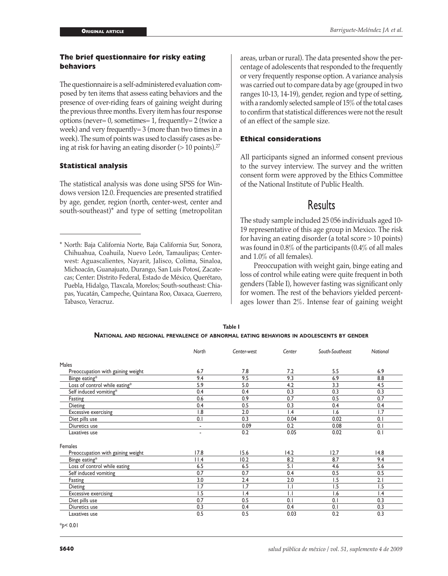## **The brief questionnaire for risky eating behaviors**

The questionnaire is a self-administered evaluation composed by ten items that assess eating behaviors and the presence of over-riding fears of gaining weight during the previous three months. Every item has four response options (never= 0, sometimes= 1, frequently= 2 (twice a week) and very frequently= 3 (more than two times in a week). The sum of points was used to classify cases as being at risk for having an eating disorder  $(>10 \text{ points})$ .<sup>27</sup>

## **Statistical analysis**

The statistical analysis was done using SPSS for Windows version 12.0. Frequencies are presented stratified by age, gender, region (north, center-west, center and south-southeast)\* and type of setting (metropolitan areas, urban or rural). The data presented show the percentage of adolescents that responded to the frequently or very frequently response option. A variance analysis was carried out to compare data by age (grouped in two ranges 10-13, 14-19), gender, region and type of setting, with a randomly selected sample of 15% of the total cases to confirm that statistical differences were not the result of an effect of the sample size.

## **Ethical considerations**

All participants signed an informed consent previous to the survey interview. The survey and the written consent form were approved by the Ethics Committee of the National Institute of Public Health.

## Results

The study sample included 25 056 individuals aged 10- 19 representative of this age group in Mexico. The risk for having an eating disorder (a total score > 10 points) was found in 0.8% of the participants (0.4% of all males and 1.0% of all females).

Preoccupation with weight gain, binge eating and loss of control while eating were quite frequent in both genders (Table I), however fasting was significant only for women. The rest of the behaviors yielded percentages lower than 2%. Intense fear of gaining weight

| Table I                                                                                |
|----------------------------------------------------------------------------------------|
| NATIONAL AND REGIONAL PREVALENCE OF ABNORMAL EATING BEHAVIORS IN ADOLESCENTS BY GENDER |

|                                   | North | Center-west | Center          | South-Southeast | National |
|-----------------------------------|-------|-------------|-----------------|-----------------|----------|
| <b>Males</b>                      |       |             |                 |                 |          |
| Preoccupation with gaining weight | 6.7   | 7.8         | 7.2             | 5.5             | 6.9      |
| Binge eating*                     | 9.4   | 9.5         | 9.3             | 6.9             | 8.8      |
| Loss of control while eating*     | 5.9   | 5.0         | 4.2             | 3.3             | 4.5      |
| Self induced vomiting*            | 0.4   | 0.4         | 0.3             | 0.3             | 0.3      |
| Fasting                           | 0.6   | 0.9         | 0.7             | 0.5             | 0.7      |
| Dieting                           | 0.4   | 0.5         | 0.3             | 0.4             | 0.4      |
| <b>Excessive exercising</b>       | 1.8   | 2.0         | $\mathsf{I}$ .4 | 1.6             | 1.7      |
| Diet pills use                    | 0.1   | 0.3         | 0.04            | 0.02            | 0.1      |
| Diuretics use                     | ٠     | 0.09        | 0.2             | 0.08            | 0.1      |
| Laxatives use                     | ٠     | 0.2         | 0.05            | 0.02            | 0.1      |
| Females                           |       |             |                 |                 |          |
| Preoccupation with gaining weight | 17.8  | 15.6        | 14.2            | 12.7            | 14.8     |
| Binge eating*                     | 11.4  | 10.2        | 8.2             | 8.7             | 9.4      |
| Loss of control while eating      | 6.5   | 6.5         | 5.1             | 4.6             | 5.6      |
| Self induced vomiting             | 0.7   | 0.7         | 0.4             | 0.5             | 0.5      |
| Fasting                           | 3.0   | 2.4         | 2.0             | 1.5             | 2.1      |
| Dieting                           | 1.7   | 1.7         | $\mathsf{L}$    | 1.5             | 1.5      |
| <b>Excessive exercising</b>       | 1.5   | 1.4         | $\mathsf{L}$    | 1.6             | 1.4      |
| Diet pills use                    | 0.7   | 0.5         | 0.1             | 0.1             | 0.3      |
| Diuretics use                     | 0.3   | 0.4         | 0.4             | 0.1             | 0.3      |
| Laxatives use                     | 0.5   | 0.5         | 0.03            | 0.2             | 0.3      |

\**p*< 0.01

<sup>\*</sup> North: Baja California Norte, Baja California Sur, Sonora, Chihuahua, Coahuila, Nuevo León, Tamaulipas; Centerwest: Aguascalientes, Nayarit, Jalisco, Colima, Sinaloa, Michoacán, Guanajuato, Durango, San Luis Potosí, Zacatecas; Center: Distrito Federal, Estado de México, Querétaro, Puebla, Hidalgo, Tlaxcala, Morelos; South-southeast: Chiapas, Yucatán, Campeche, Quintana Roo, Oaxaca, Guerrero, Tabasco, Veracruz.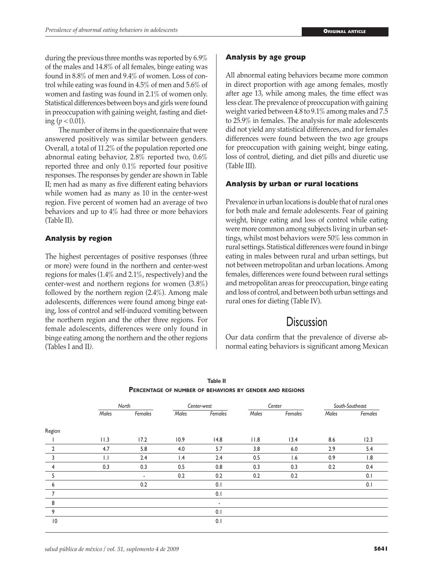during the previous three months was reported by 6.9% of the males and 14.8% of all females, binge eating was found in 8.8% of men and 9.4% of women. Loss of control while eating was found in 4.5% of men and 5.6% of women and fasting was found in 2.1% of women only. Statistical differences between boys and girls were found in preoccupation with gaining weight, fasting and dieting ( $p < 0.01$ ).

The number of items in the questionnaire that were answered positively was similar between genders. Overall, a total of 11.2% of the population reported one abnormal eating behavior, 2.8% reported two, 0.6% reported three and only 0.1% reported four positive responses. The responses by gender are shown in Table II; men had as many as five different eating behaviors while women had as many as 10 in the center-west region. Five percent of women had an average of two behaviors and up to 4% had three or more behaviors (Table II).

## **Analysis by region**

The highest percentages of positive responses (three or more) were found in the northern and center-west regions for males (1.4% and 2.1%, respectively) and the center-west and northern regions for women (3.8%) followed by the northern region (2.4%). Among male adolescents, differences were found among binge eating, loss of control and self-induced vomiting between the northern region and the other three regions. For female adolescents, differences were only found in binge eating among the northern and the other regions (Tables I and II*)*.

## **Analysis by age group**

All abnormal eating behaviors became more common in direct proportion with age among females, mostly after age 13, while among males, the time effect was less clear. The prevalence of preoccupation with gaining weight varied between 4.8 to 9.1% among males and 7.5 to 25.9% in females. The analysis for male adolescents did not yield any statistical differences, and for females differences were found between the two age groups for preoccupation with gaining weight, binge eating, loss of control, dieting, and diet pills and diuretic use (Table III).

## **Analysis by urban or rural locations**

Prevalence in urban locations is double that of rural ones for both male and female adolescents. Fear of gaining weight, binge eating and loss of control while eating were more common among subjects living in urban settings, whilst most behaviors were 50% less common in rural settings. Statistical differences were found in binge eating in males between rural and urban settings, but not between metropolitan and urban locations. Among females, differences were found between rural settings and metropolitan areas for preoccupation, binge eating and loss of control, and between both urban settings and rural ones for dieting (Table IV).

# Discussion

Our data confirm that the prevalence of diverse abnormal eating behaviors is significant among Mexican

|                 | North<br>Males<br>Females |      | Center-west<br>Males<br>Females |                          | Center<br>Males<br>Females |      | South-Southeast<br>Males<br>Females |      |  |
|-----------------|---------------------------|------|---------------------------------|--------------------------|----------------------------|------|-------------------------------------|------|--|
|                 |                           |      |                                 |                          |                            |      |                                     |      |  |
| Region          |                           |      |                                 |                          |                            |      |                                     |      |  |
|                 | 11.3                      | 17.2 | 10.9                            | 14.8                     | 11.8                       | 13.4 | 8.6                                 | 12.3 |  |
| $\overline{2}$  | 4.7                       | 5.8  | 4.0                             | 5.7                      | 3.8                        | 6.0  | 2.9                                 | 5.4  |  |
| 3               | $\overline{L}$            | 2.4  | 1.4                             | 2.4                      | 0.5                        | 1.6  | 0.9                                 | 1.8  |  |
| $\overline{4}$  | 0.3                       | 0.3  | 0.5                             | 0.8                      | 0.3                        | 0.3  | 0.2                                 | 0.4  |  |
| 5               |                           | ٠    | 0.2                             | 0.2                      | 0.2                        | 0.2  |                                     | 0.1  |  |
| 6               |                           | 0.2  |                                 | 0.1                      |                            |      |                                     | 0.1  |  |
| 7               |                           |      |                                 | 0.1                      |                            |      |                                     |      |  |
| 8               |                           |      |                                 | $\overline{\phantom{a}}$ |                            |      |                                     |      |  |
| 9               |                           |      |                                 | 0.1                      |                            |      |                                     |      |  |
| $\overline{10}$ |                           |      |                                 | 0.1                      |                            |      |                                     |      |  |

**Table II Percentage of number of behaviors by gender and regions**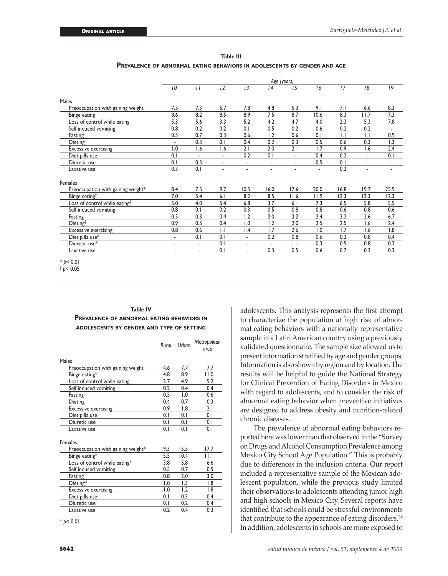**Table III Prevalence of abnormal eating behaviors in adolescents by gender and age**

|                                    |                          | Age (years)              |                  |                 |                          |                          |      |              |                          |                |
|------------------------------------|--------------------------|--------------------------|------------------|-----------------|--------------------------|--------------------------|------|--------------|--------------------------|----------------|
|                                    | 10                       | $\frac{1}{2}$            | 12               | 13              | 4                        | 15                       | 16   | 17           | 18                       | 19             |
| Males                              |                          |                          |                  |                 |                          |                          |      |              |                          |                |
| Preoccupation with gaining weight  | 7.5                      | 7.3                      | 5.7              | 7.8             | 4.8                      | 5.3                      | 9.1  | 7.1          | 6.6                      | 8.3            |
| Binge eating                       | 8.6                      | 8.2                      | 8.5              | 8.9             | 7.5                      | 8.7                      | 10.6 | 8.3          | 11.7                     | 7.3            |
| Loss of control while eating       | 5.3                      | 5.6                      | 3.3              | 5.2             | 4.2                      | 4.7                      | 4.0  | 2.3          | 5.3                      | 7.8            |
| Self induced vomiting              | 0.8                      | 0.2                      | 0.2              | 0.1             | 0.5                      | 0.2                      | 0.6  | 0.2          | 0.2                      | $\blacksquare$ |
| Fasting                            | 0.3                      | 0.7                      | 0.3              | 0.6             | 1.2                      | 0.6                      | 0.1  | $\mathsf{L}$ | $\mathsf{L}$             | 0.9            |
| Dieting                            | $\overline{\phantom{a}}$ | 0.3                      | 0.1              | 0.4             | 0.2                      | 0.3                      | 0.5  | 0.6          | 0.3                      | 1.3            |
| <b>Excessive exercising</b>        | 1.0                      | 1.6                      | 1.6              | 2.1             | 2.0                      | 2.1                      | 1.7  | 0.9          | 1.6                      | 2.4            |
| Diet pills use                     | 0.1                      | $\overline{\phantom{a}}$ | $\frac{1}{2}$    | 0.2             | 0.1                      | $\overline{\phantom{a}}$ | 0.4  | 0.2          | $\overline{\phantom{a}}$ | 0.1            |
| Diuretic use                       | 0.1                      | 0.3                      |                  |                 | $\frac{1}{2}$            |                          | 0.5  | 0.1          | ٠                        | $\overline{a}$ |
| Laxative use                       | 0.3                      | 0.1                      | ٠                | ٠               | ٠                        |                          | ٠    | 0.2          | $\overline{a}$           | ٠              |
| Females                            |                          |                          |                  |                 |                          |                          |      |              |                          |                |
| Preoccupation with gaining weight* | 8.4                      | 7.5                      | 9.7              | 10.5            | 16.0                     | 17.6                     | 20.0 | 16.8         | 19.7                     | 25.9           |
| Binge eating <sup>‡</sup>          | 7.0                      | 5.4                      | 6.1              | 8.2             | 8.5                      | 11.6                     | 11.9 | 12.3         | 12.3                     | 12.3           |
| Loss of control while eating#      | 5.0                      | 4.0                      | 5.4              | 6.8             | 3.7                      | 6.1                      | 7.3  | 6.5          | 5.8                      | 5.5            |
| Self induced vomiting              | 0.8                      | 0.1                      | 0.2              | 0.3             | 0.5                      | 0.8                      | 0.8  | 0.6          | 0.8                      | 0.6            |
| Fasting                            | 0.5                      | 0.3                      | 0.4              | 1.2             | 2.0                      | 3.2                      | 2.4  | 3.2          | 2.6                      | 6.7            |
| Dieting <sup>‡</sup>               | 0.9                      | 0.5                      | 0.4              | 1.0             | 1.2                      | 2.0                      | 2.5  | 2.5          | 1.6                      | 2.4            |
| <b>Excessive exercising</b>        | 0.8                      | 0.6                      | $\overline{1}$ . | $\mathsf{I}$ .4 | 1.7                      | 2.6                      | 1.0  | 1.7          | 1.6                      | 1.8            |
| Diet pills use*                    | $\blacksquare$           | 0.1                      | 0.1              | $\blacksquare$  | 0.2                      | 0.8                      | 0.6  | 0.2          | 0.8                      | 0.4            |
| Diuretic use*                      | ۰                        | $\overline{\phantom{a}}$ | 0.1              | ٠               | $\overline{\phantom{a}}$ | $\mathsf{L}$             | 0.3  | 0.5          | 0.8                      | 0.3            |
| Laxative use                       |                          | $\overline{a}$           | 0.1              | ٠               | 0.3                      | 0.5                      | 0.6  | 0.7          | 0.3                      | 0.3            |
| $*$ p < 0.01                       |                          |                          |                  |                 |                          |                          |      |              |                          |                |

 $\frac{1}{2}$  *p* < 0.05

## **Table IV Prevalence of abnormal eating behaviors in adolescents by gender and type of setting**

|                                    | Rural | Urban          | Metropolitan<br>area |
|------------------------------------|-------|----------------|----------------------|
| Males                              |       |                |                      |
| Preoccupation with gaining weight  | 4.6   | 7.7            | 7.7                  |
| Binge eating*                      | 4.8   | 8.9            | 11.0                 |
| Loss of control while eating       | 2.7   | 4.9            | 5.2                  |
| Self induced vomiting              | 0.2   | 0.4            | 0.4                  |
| Fasting                            | 0.5   | 1.0            | 0.6                  |
| Dieting                            | 0.4   | 0.7            | 0.3                  |
| <b>Excessive exercising</b>        | 0.9   | 1.8            | 2.1                  |
| Diet pills use                     | 0.1   | 0.1            | 0.1                  |
| Diuretic use                       | 0.1   | 0.1            | 0.1                  |
| Laxative use                       | 0.1   | 0.1            | 0.1                  |
| <b>Females</b>                     |       |                |                      |
| Preoccupation with gaining weight* | 9.3   | 15.5           | 17.7                 |
| Binge eating*                      | 5.5   | 10.4           | ШJ                   |
| Loss of control while eating*      | 3.8   | 5.8            | 6.6                  |
| Self induced vomiting              | 0.5   | 0.7            | 0.5                  |
| Fasting                            | 0.8   | 2.0            | 3.0                  |
| Dieting*                           | 1.0   | I.3            | $\overline{8}$       |
| <b>Excessive exercising</b>        | 1.0   | $\overline{1}$ | $\overline{8}$       |
| Diet pills use                     | 0.1   | 0.3            | 0.4                  |
| Diuretic use                       | 0.1   | 0.2            | 0.4                  |
| Laxative use                       | 0.2   | 0.4            | 0.3                  |
| * $p$ < 0.01                       |       |                |                      |

adolescents. This analysis represents the first attempt to characterize the population at high risk of abnormal eating behaviors with a nationally representative sample in a Latin American country using a previously validated questionnaire. The sample size allowed us to present information stratified by age and gender groups. Information is also shown by region and by location. The results will be helpful to guide the National Strategy for Clinical Prevention of Eating Disorders in Mexico with regard to adolescents, and to consider the risk of abnormal eating behavior when preventive initiatives are designed to address obesity and nutrition-related chronic diseases.

The prevalence of abnormal eating behaviors reported here was lower than that observed in the "Survey on Drugs and Alcohol Consumption Prevalence among Mexico City School Age Population." This is probably due to differences in the inclusion criteria. Our report included a representative sample of the Mexican adolescent population, while the previous study limited their observations to adolescents attending junior high and high schools in Mexico City. Several reports have identified that schools could be stressful environments that contribute to the appearance of eating disorders.<sup>28</sup> In addition, adolescents in schools are more exposed to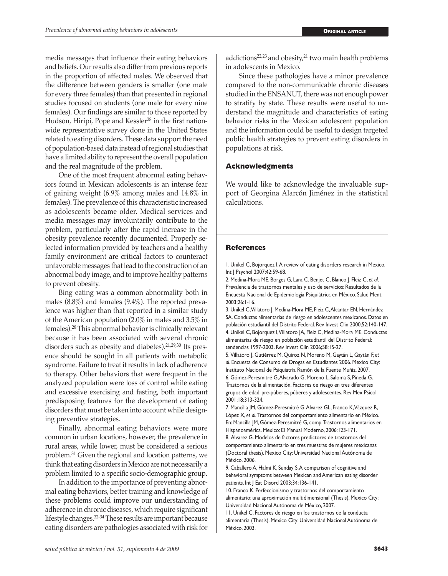media messages that influence their eating behaviors and beliefs. Our results also differ from previous reports in the proportion of affected males. We observed that the difference between genders is smaller (one male for every three females) than that presented in regional studies focused on students (one male for every nine females). Our findings are similar to those reported by Hudson, Hiripi, Pope and Kessler<sup>28</sup> in the first nationwide representative survey done in the United States related to eating disorders. These data support the need of population-based data instead of regional studies that have a limited ability to represent the overall population and the real magnitude of the problem.

One of the most frequent abnormal eating behaviors found in Mexican adolescents is an intense fear of gaining weight (6.9% among males and 14.8% in females). The prevalence of this characteristic increased as adolescents became older. Medical services and media messages may involuntarily contribute to the problem, particularly after the rapid increase in the obesity prevalence recently documented. Properly selected information provided by teachers and a healthy family environment are critical factors to counteract unfavorable messages that lead to the construction of an abnormal body image, and to improve healthy patterns to prevent obesity.

Bing eating was a common abnormality both in males (8.8%) and females (9.4%). The reported prevalence was higher than that reported in a similar study of the American population (2.0% in males and 3.5% in females).28 This abnormal behavior is clinically relevant because it has been associated with several chronic disorders such as obesity and diabetes).21,29,30 Its presence should be sought in all patients with metabolic syndrome. Failure to treat it results in lack of adherence to therapy. Other behaviors that were frequent in the analyzed population were loss of control while eating and excessive exercising and fasting, both important predisposing features for the development of eating disorders that must be taken into account while designing preventive strategies.

Finally, abnormal eating behaviors were more common in urban locations, however, the prevalence in rural areas, while lower, must be considered a serious problem.31 Given the regional and location patterns, we think that eating disorders in Mexico are not necessarily a problem limited to a specific socio-demographic group.

In addition to the importance of preventing abnormal eating behaviors, better training and knowledge of these problems could improve our understanding of adherence in chronic diseases, which require significant lifestyle changes.32-34 These results are important because eating disorders are pathologies associated with risk for addictions<sup>22,23</sup> and obesity,<sup>21</sup> two main health problems in adolescents in Mexico.

Since these pathologies have a minor prevalence compared to the non-communicable chronic diseases studied in the ENSANUT, there was not enough power to stratify by state. These results were useful to understand the magnitude and characteristics of eating behavior risks in the Mexican adolescent population and the information could be useful to design targeted public health strategies to prevent eating disorders in populations at risk.

## **Acknowledgments**

We would like to acknowledge the invaluable support of Georgina Alarcón Jiménez in the statistical calculations.

## **References**

1. Unikel C, Bojorquez I. A review of eating disorders research in Mexico. Int J Psychol 2007;42:59-68.

2. Medina-Mora ME, Borges G, Lara C, Benjet C, Blanco J, Fleiz C, *et al*. Prevalencia de trastornos mentales y uso de servicios: Resultados de la Encuesta Nacional de Epidemiología Psiquiátrica en México. Salud Ment 2003;26:1-16.

3. Unikel C, Villatoro J, Medina-Mora ME, Fleiz C, Alcantar EN, Hernández SA. Conductas alimentarias de riesgo en adolescentes mexicanos. Datos en población estudiantil del Distrito Federal. Rev Invest Clin 2000;52:140-147. 4. Unikel C, Bojorquez I, Villatoro JA, Fleiz C, Medina-Mora ME. Conductas alimentarias de riesgo en población estudiantil del Distrito Federal: tendencias 1997-2003. Rev Invest Clin 2006;58:15-27.

5. Villatoro J, Gutiérrez M, Quiroz N, Moreno M, Gaytán L, Gaytán F, *et al*. Encuesta de Consumo de Drogas en Estudiantes 2006. Mexico City: Instituto Nacional de Psiquiatría Ramón de la Fuente Muñiz, 2007. 6. Gómez-Peresmitré G, Alvarado G, Moreno L, Saloma S, Pineda G. Trastornos de la alimentación. Factores de riesgo en tres diferentes

grupos de edad: pre-púberes, púberes y adolescentes. Rev Mex Psicol 2001;18:313-324.

7. Mancilla JM, Gómez-Peresmitré G, Alvarez GL, Franco K, Vázquez R, López X, *et al.* Trastornos del comportamiento alimentario en México. En: Mancilla JM, Gómez-Peresmitré G, comp. Trastornos alimentarios en Hispanoamérica. Mexico: El Manual Moderno, 2006:123-171.

8. Alvarez G. Modelos de factores predictores de trastornos del comportamiento alimentario en tres muestras de mujeres mexicanas (Doctoral thesis). Mexico City: Universidad Nacional Autónoma de México, 2006.

9. Caballero A, Halmi K, Sunday S. A comparison of cognitive and behavioral symptoms between Mexican and American eating disorder patients. Int J Eat Disord 2003;34:136-141.

10. Franco K. Perfeccionismo y trastornos del comportamiento alimentario: una aproximación multidimensional (Thesis). Mexico City: Universidad Nacional Autónoma de México, 2007.

11. Unikel C. Factores de riesgo en los trastornos de la conducta alimentaria (Thesis). Mexico City: Universidad Nacional Autónoma de México, 2003.